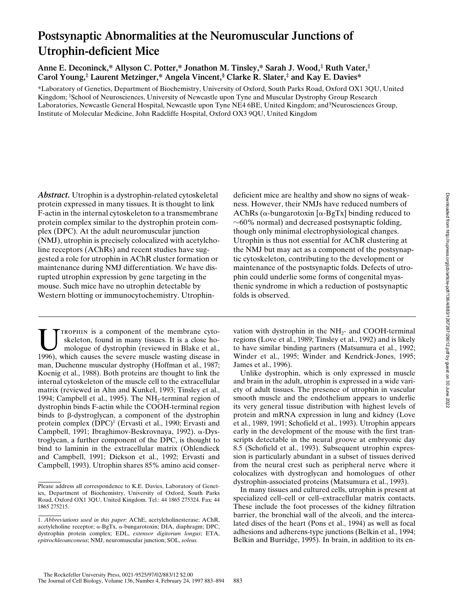# **Postsynaptic Abnormalities at the Neuromuscular Junctions of Utrophin-deficient Mice**

**Anne E. Deconinck,\* Allyson C. Potter,\* Jonathon M. Tinsley,\* Sarah J. Wood,‡ Ruth Vater,‡ Carol Young,‡ Laurent Metzinger,\* Angela Vincent,§ Clarke R. Slater,‡ and Kay E. Davies\***

\*Laboratory of Genetics, Department of Biochemistry, University of Oxford, South Parks Road, Oxford OX1 3QU, United Kingdom; ‡ School of Neurosciences, University of Newcastle upon Tyne and Muscular Dystrophy Group Research Laboratories, Newcastle General Hospital, Newcastle upon Tyne NE4 6BE, United Kingdom; and<sup>§</sup>Neurosciences Group, Institute of Molecular Medicine, John Radcliffe Hospital, Oxford OX3 9QU, United Kingdom

*Abstract.* Utrophin is a dystrophin-related cytoskeletal protein expressed in many tissues. It is thought to link F-actin in the internal cytoskeleton to a transmembrane protein complex similar to the dystrophin protein complex (DPC). At the adult neuromuscular junction (NMJ), utrophin is precisely colocalized with acetylcholine receptors (AChRs) and recent studies have suggested a role for utrophin in AChR cluster formation or maintenance during NMJ differentiation. We have disrupted utrophin expression by gene targeting in the mouse. Such mice have no utrophin detectable by Western blotting or immunocytochemistry. Utrophin-

TROPHIN is a component of the membrane cytoskeleton, found in many tissues. It is a close homologue of dystrophin (reviewed in Blake et al., 1996), which causes the severe muscle wasting disease in man, Duchenne muscular dystrophy (Hoffman et al., 1987; Koenig et al., 1988). Both proteins are thought to link the internal cytoskeleton of the muscle cell to the extracellular matrix (reviewed in Ahn and Kunkel, 1993; Tinsley et al., 1994; Campbell et al., 1995). The  $NH<sub>2</sub>$ -terminal region of dystrophin binds F-actin while the COOH-terminal region binds to  $\beta$ -dystroglycan, a component of the dystrophin protein complex (DPC)<sup>1</sup> (Ervasti et al., 1990; Ervasti and Campbell, 1991; Ibraghimov-Beskrovnaya, 1992). a-Dystroglycan, a further component of the DPC, is thought to bind to laminin in the extracellular matrix (Ohlendieck and Campbell, 1991; Dickson et al., 1992; Ervasti and Campbell, 1993). Utrophin shares 85% amino acid conserdeficient mice are healthy and show no signs of weakness. However, their NMJs have reduced numbers of AChRs ( $\alpha$ -bungarotoxin [ $\alpha$ -BgTx] binding reduced to  $\sim$ 60% normal) and decreased postsynaptic folding, though only minimal electrophysiological changes. Utrophin is thus not essential for AChR clustering at the NMJ but may act as a component of the postsynaptic cytoskeleton, contributing to the development or maintenance of the postsynaptic folds. Defects of utrophin could underlie some forms of congenital myasthenic syndrome in which a reduction of postsynaptic folds is observed.

vation with dystrophin in the  $NH<sub>2</sub>-$  and COOH-terminal regions (Love et al., 1989; Tinsley et al., 1992) and is likely to have similar binding partners (Matsumura et al., 1992; Winder et al., 1995; Winder and Kendrick-Jones, 1995; James et al., 1996).

Unlike dystrophin, which is only expressed in muscle and brain in the adult, utrophin is expressed in a wide variety of adult tissues. The presence of utrophin in vascular smooth muscle and the endothelium appears to underlie its very general tissue distribution with highest levels of protein and mRNA expression in lung and kidney (Love et al., 1989, 1991; Schofield et al., 1993). Utrophin appears early in the development of the mouse with the first transcripts detectable in the neural groove at embryonic day 8.5 (Schofield et al., 1993). Subsequent utrophin expression is particularly abundant in a subset of tissues derived from the neural crest such as peripheral nerve where it colocalizes with dystroglycan and homologues of other dystrophin-associated proteins (Matsumura et al., 1993).

In many tissues and cultured cells, utrophin is present at specialized cell–cell or cell–extracellular matrix contacts. These include the foot processes of the kidney filtration barrier, the bronchial wall of the alveoli, and the intercalated discs of the heart (Pons et al., 1994) as well as focal adhesions and adherens-type junctions (Belkin et al., 1994; Belkin and Burridge, 1995). In brain, in addition to its en-

Please address all correspondence to K.E. Davies, Laboratory of Genetics, Department of Biochemistry, University of Oxford, South Parks Road, Oxford OX1 3QU, United Kingdom. Tel.: 44 1865 275324. Fax: 44 1865 275215.

<sup>1.</sup> *Abbreviations used in this paper*: AChE, acetylcholinesterase; AChR, acetylcholine receptor; a-BgTx, a-bungarotoxin; DIA, diaphragm; DPC, dystrophin protein complex; EDL, *extensor digitorum longus*; ETA, *epitrochleoanconeus*; NMJ, neuromuscular junction; SOL, *soleus.*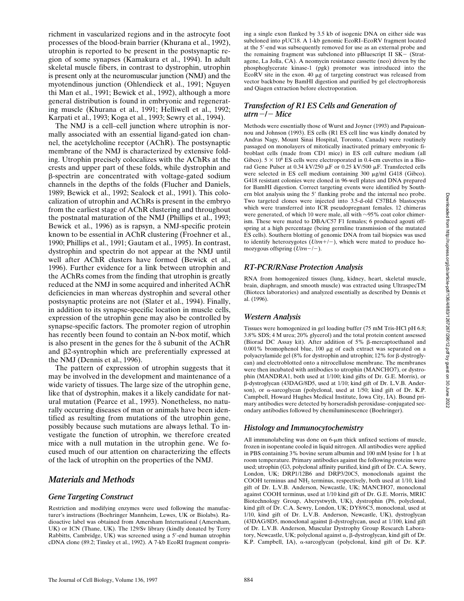richment in vascularized regions and in the astrocyte foot processes of the blood-brain barrier (Khurana et al., 1992), utrophin is reported to be present in the postsynaptic region of some synapses (Kamakura et al., 1994). In adult skeletal muscle fibers, in contrast to dystrophin, utrophin is present only at the neuromuscular junction (NMJ) and the myotendinous junction (Ohlendieck et al., 1991; Nguyen thi Man et al., 1991; Bewick et al., 1992), although a more general distribution is found in embryonic and regenerating muscle (Khurana et al., 1991; Helliwell et al., 1992; Karpati et al., 1993; Koga et al., 1993; Sewry et al., 1994).

The NMJ is a cell–cell junction where utrophin is normally associated with an essential ligand-gated ion channel, the acetylcholine receptor (AChR). The postsynaptic membrane of the NMJ is characterized by extensive folding. Utrophin precisely colocalizes with the AChRs at the crests and upper part of these folds, while dystrophin and b-spectrin are concentrated with voltage-gated sodium channels in the depths of the folds (Flucher and Daniels, 1989; Bewick et al., 1992; Sealock et al., 1991). This colocalization of utrophin and AChRs is present in the embryo from the earliest stage of AChR clustering and throughout the postnatal maturation of the NMJ (Phillips et al., 1993; Bewick et al., 1996) as is rapsyn, a NMJ-specific protein known to be essential in AChR clustering (Froehner et al., 1990; Phillips et al., 1991; Gautam et al., 1995). In contrast, dystrophin and spectrin do not appear at the NMJ until well after AChR clusters have formed (Bewick et al., 1996). Further evidence for a link between utrophin and the AChRs comes from the finding that utrophin is greatly reduced at the NMJ in some acquired and inherited AChR deficiencies in man whereas dystrophin and several other postsynaptic proteins are not (Slater et al., 1994). Finally, in addition to its synapse-specific location in muscle cells, expression of the utrophin gene may also be controlled by synapse-specific factors. The promoter region of utrophin has recently been found to contain an N-box motif, which is also present in the genes for the  $\delta$  subunit of the AChR and b2-syntrophin which are preferentially expressed at the NMJ (Dennis et al., 1996).

The pattern of expression of utrophin suggests that it may be involved in the development and maintenance of a wide variety of tissues. The large size of the utrophin gene, like that of dystrophin, makes it a likely candidate for natural mutation (Pearce et al., 1993). Nonetheless, no naturally occurring diseases of man or animals have been identified as resulting from mutations of the utrophin gene, possibly because such mutations are always lethal. To investigate the function of utrophin, we therefore created mice with a null mutation in the utrophin gene. We focused much of our attention on characterizing the effects of the lack of utrophin on the properties of the NMJ.

# *Materials and Methods*

#### *Gene Targeting Construct*

Restriction and modifying enzymes were used following the manufacturer's instructions (Boehringer Mannheim, Lewes, UK or Biolabs). Radioactive label was obtained from Amersham International (Amersham, UK) or ICN (Thane, UK). The 129/Sv library (kindly donated by Terry Rabbitts, Cambridge, UK) was screened using a 5'-end human utrophin cDNA clone (89.2; Tinsley et al., 1992). A 7-kb EcoRI fragment comprising a single exon flanked by 3.5 kb of isogenic DNA on either side was subcloned into pUC18. A 1-kb genomic EcoRI–EcoRV fragment located at the 5'-end was subsequently removed for use as an external probe and the remaining fragment was subcloned into pBluescript II SK- (Stratagene, La Jolla, CA). A neomycin resistance cassette (neo) driven by the phosphoglycerate kinase-1 (pgk) promoter was introduced into the EcoRV site in the exon. 40  $\mu$ g of targeting construct was released from vector backbone by BamHI digestion and purified by gel electrophoresis and Qiagen extraction before electroporation.

#### *Transfection of R1 ES Cells and Generation of*  $utrn$ <sup> $-$ </sup>/<sup>-</sup> $Mice$

Methods were essentially those of Wurst and Joyner (1993) and Papaioannou and Johnson (1993). ES cells (R1 ES cell line was kindly donated by Andras Nagy, Mount Sinai Hospital, Toronto, Canada) were routinely passaged on monolayers of mitotically inactivated primary embryonic fibroblast cells (made from CD1 mice) in ES cell culture medium (all Gibco).  $5 \times 10^6$  ES cells were electroporated in 0.4-cm cuvettes in a Biorad Gene Pulser at 0.34 kV/250  $\upmu\mathrm{F}$  or 0.25 kV/500  $\upmu\mathrm{F}.$  Transfected cells were selected in ES cell medium containing 300 µg/ml G418 (Gibco). G418 resistant colonies were cloned in 96-well plates and DNA prepared for BamHI digestion. Correct targeting events were identified by Southern blot analysis using the 5' flanking probe and the internal neo probe. Two targeted clones were injected into 3.5-d-old C57BL6 blastocysts which were transferred into ICR pseudopregnant females. 12 chimeras were generated, of which 10 were male, all with  $\sim$ 95% coat color chimerism. These were mated to DBA/C57 F1 females; 6 produced agouti offspring at a high percentage (being germline transmission of the mutated ES cells). Southern blotting of genomic DNA from tail biopsies was used to identify heterozygotes  $(Utrn+/-)$ , which were mated to produce homozygous offspring  $(Utrn-/-)$ .

#### *RT-PCR/RNase Protection Analysis*

RNA from homogenized tissues (lung, kidney, heart, skeletal muscle, brain, diaphragm, and smooth muscle) was extracted using UltraspecTM (Biotecx laboratories) and analyzed essentially as described by Dennis et al. (1996).

#### *Western Analysis*

Tissues were homogenized in gel loading buffer (75 mM Tris-HCl pH 6.8; 3.8% SDS; 4 M urea; 20% glycerol) and the total protein content assessed (Biorad DC Assay kit). After addition of 5% ß-mercaptoethanol and  $0.001\%$  bromophenol blue,  $100~\mu{\rm g}$  of each extract was separated on a polyacrylamide gel (8% for dystrophin and utrophin;  $12\%$  for  $\beta$ -dystroglycan) and electroblotted onto a nitrocellulose membrane. The membranes were then incubated with antibodies to utrophin (MANCHO7), or dystrophin (MANDRA1, both used at 1/100; kind gifts of Dr. G.E. Morris), or b-dystroglycan (43DAG/8D5, used at 1/10; kind gift of Dr. L.V.B. Anderson), or a-sarcoglycan (polyclonal, used at 1/50; kind gift of Dr. K.P. Campbell, Howard Hughes Medical Institute, Iowa City, IA). Bound primary antibodies were detected by horseradish peroxidase–conjugated secondary antibodies followed by chemiluminescence (Boehringer).

# *Histology and Immunocytochemistry*

All immunolabeling was done on  $6\text{-}\mu\text{m}$  thick unfixed sections of muscle, frozen in isopentane cooled in liquid nitrogen. All antibodies were applied in PBS containing 3% bovine serum albumin and 100 mM lysine for 1 h at room temperature. Primary antibodies against the following proteins were used; utrophin (G3, polyclonal affinity purified, kind gift of Dr. C.A. Sewry, London, UK; DRP1/12B6 and DRP3/20C5, monoclonals against the COOH terminus and NH2 terminus, respectively, both used at 1/10, kind gift of Dr. L.V.B. Anderson, Newcastle, UK; MANCHO7, monoclonal against COOH terminus, used at 1/10 kind gift of Dr. G.E. Morris, MRIC Biotechnology Group, Aberystwyth, UK), dystrophin (P6, polyclonal, kind gift of Dr. C.A. Sewry, London, UK; DY8/6C5, monoclonal, used at 1/10, kind gift of Dr. L.V.B. Anderson, Newcastle, UK), dystroglycan (43DAG/8D5, monoclonal against  $\beta$ -dystroglycan, used at 1/100, kind gift of Dr. L.V.B. Anderson, Muscular Dystrophy Group Research Laboratory, Newcastle, UK; polyclonal against  $\alpha$ ,  $\beta$ -dystroglycan, kind gift of Dr. K.P. Campbell, IA), a-sarcoglycan (polyclonal, kind gift of Dr. K.P.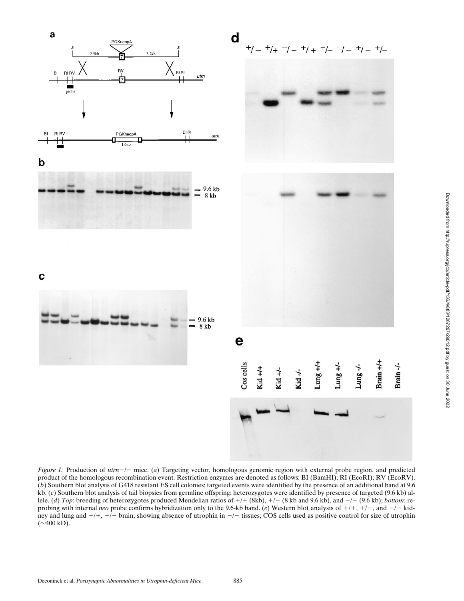

*Figure 1.* Production of *utrn*-/- mice. (*a*) Targeting vector, homologous genomic region with external probe region, and predicted product of the homologous recombination event. Restriction enzymes are denoted as follows: BI (BamHI); RI (EcoRI); RV (EcoRV). (*b*) Southern blot analysis of G418 resistant ES cell colonies; targeted events were identified by the presence of an additional band at 9.6 kb. (*c*) Southern blot analysis of tail biopsies from germline offspring; heterozygotes were identified by presence of targeted (9.6 kb) allele. (*d*) *Top*: breeding of heterozygotes produced Mendelian ratios of  $+/+(8kb)$ ,  $+/-$  (8 kb and 9.6 kb), and  $-/-$  (9.6 kb); *bottom*: reprobing with internal *neo* probe confirms hybridization only to the 9.6-kb band. (*e*) Western blot analysis of  $+/+, +/-,$  and  $-/-$  kidney and lung and  $+/+$ ,  $-/-$  brain, showing absence of utrophin in  $-/-$  tissues; COS cells used as positive control for size of utrophin  $(\sim 400 \text{ kD}).$ 

Brain +/+

Lung-/-

Lung  $+/-$ 

Brain-/-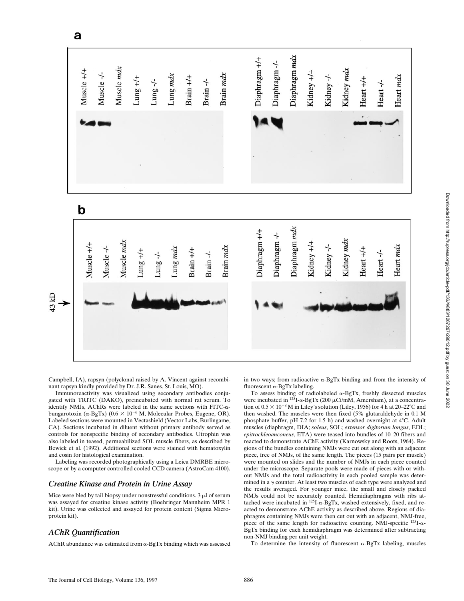

Campbell, IA), rapsyn (polyclonal raised by A. Vincent against recombinant rapsyn kindly provided by Dr. J.R. Sanes, St. Louis, MO).

Immunoreactivity was visualized using secondary antibodies conjugated with TRITC (DAKO), preincubated with normal rat serum. To identify NMJs, AChRs were labeled in the same sections with FITC- $\alpha$ bungarotoxin ( $\alpha$ -BgTx) (0.6  $\times$  10<sup>-6</sup> M, Molecular Probes, Eugene, OR). Labeled sections were mounted in Vectashield (Vector Labs, Burlingame, CA). Sections incubated in diluent without primary antibody served as controls for nonspecific binding of secondary antibodies. Utrophin was also labeled in teased, permeabilized SOL muscle fibers, as described by Bewick et al. (1992). Additional sections were stained with hematoxylin and eosin for histological examination.

Labeling was recorded photographically using a Leica DMRBE microscope or by a computer controlled cooled CCD camera (AstroCam 4100).

#### *Creatine Kinase and Protein in Urine Assay*

Mice were bled by tail biopsy under nonstressful conditions.  $3 \mu$  of serum was assayed for creatine kinase activity (Boehringer Mannheim MPR 1 kit). Urine was collected and assayed for protein content (Sigma Microprotein kit).

#### *AChR Quantification*

AChR abundance was estimated from  $\alpha$ -BgTx binding which was assessed

in two ways; from radioactive  $\alpha$ -BgTx binding and from the intensity of fluorescent  $\alpha$ -BgTx labeling.

To assess binding of radiolabeled  $\alpha$ -BgTx, freshly dissected muscles were incubated in  $^{125}I-\alpha$ -BgTx (200 µCi/mM, Amersham), at a concentration of  $0.5 \times 10^{-8}$  M in Liley's solution (Liley, 1956) for 4 h at 20–22°C and then washed. The muscles were then fixed (5% glutaraldehyde in 0.1 M phosphate buffer, pH 7.2 for 1.5 h) and washed overnight at  $4^{\circ}$ C. Adult muscles (diaphragm, DIA; *soleus*, SOL; *extensor digitorum longus*, EDL; *epitrochleoanconeus*, ETA) were teased into bundles of 10–20 fibers and reacted to demonstrate AChE activity (Karnowsky and Roots, 1964). Regions of the bundles containing NMJs were cut out along with an adjacent piece, free of NMJs, of the same length. The pieces (15 pairs per muscle) were mounted on slides and the number of NMJs in each piece counted under the microscope. Separate pools were made of pieces with or without NMJs and the total radioactivity in each pooled sample was determined in a  $\gamma$  counter. At least two muscles of each type were analyzed and the results averaged. For younger mice, the small and closely packed NMJs could not be accurately counted. Hemidiaphragms with ribs attached were incubated in  $^{125}I-\alpha$ -BgTx, washed extensively, fixed, and reacted to demonstrate AChE activity as described above. Regions of diaphragms containing NMJs were then cut out with an adjacent, NMJ-free, piece of the same length for radioactive counting. NMJ-specific 125I-a-BgTx binding for each hemidiaphragm was determined after subtracting non-NMJ binding per unit weight.

To determine the intensity of fluorescent  $\alpha$ -BgTx labeling, muscles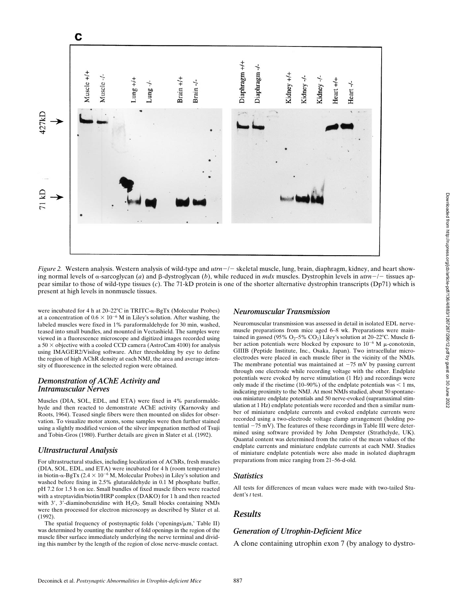

*Figure 2.* Western analysis. Western analysis of wild-type and  $utr - l$  skeletal muscle, lung, brain, diaphragm, kidney, and heart showing normal levels of  $\alpha$ -sarcoglycan (*a*) and  $\beta$ -dystroglycan (*b*), while reduced in *mdx* muscles. Dystrophin levels in *utrn*-/- tissues appear similar to those of wild-type tissues (*c*). The 71-kD protein is one of the shorter alternative dystrophin transcripts (Dp71) which is present at high levels in nonmuscle tissues.

were incubated for 4 h at  $20-22$ °C in TRITC- $\alpha$ -BgTx (Molecular Probes) at a concentration of  $0.6 \times 10^{-6}$  M in Liley's solution. After washing, the labeled muscles were fixed in 1% paraformaldehyde for 30 min, washed, teased into small bundles, and mounted in Vectashield. The samples were viewed in a fluorescence microscope and digitized images recorded using a  $50 \times$  objective with a cooled CCD camera (AstroCam 4100) for analysis using IMAGER2/Visilog software. After thresholding by eye to define the region of high AChR density at each NMJ, the area and average intensity of fluorescence in the selected region were obtained.

#### *Demonstration of AChE Activity and Intramuscular Nerves*

Muscles (DIA, SOL, EDL, and ETA) were fixed in 4% paraformaldehyde and then reacted to demonstrate AChE activity (Karnovsky and Roots, 1964). Teased single fibers were then mounted on slides for observation. To visualize motor axons, some samples were then further stained using a slightly modified version of the silver impegnation method of Tsuji and Tobin-Gros (1980). Further details are given in Slater et al. (1992).

#### *Ultrastructural Analysis*

For ultrastructural studies, including localization of AChRs, fresh muscles (DIA, SOL, EDL, and ETA) were incubated for 4 h (room temperature) in biotin- $\alpha$ -BgTx (2.4  $\times$  10<sup>-6</sup> M, Molecular Probes) in Liley's solution and washed before fixing in 2.5% glutaraldehyde in 0.1 M phosphate buffer, pH 7.2 for 1.5 h on ice. Small bundles of fixed muscle fibers were reacted with a streptavidin/biotin/HRP complex (DAKO) for 1 h and then reacted with  $3'$ ,  $3'$ -diaminobenzidine with  $H_2O_2$ . Small blocks containing NMJs were then processed for electron microscopy as described by Slater et al. (1992).

The spatial frequency of postsynaptic folds ('openings/ $\mu$ m,' Table II) was determined by counting the number of fold openings in the region of the muscle fiber surface immediately underlying the nerve terminal and dividing this number by the length of the region of close nerve-muscle contact.

#### *Neuromuscular Transmission*

Neuromuscular transmission was assessed in detail in isolated EDL nervemuscle preparations from mice aged 6–8 wk. Preparations were maintained in gassed (95%  $O_2$ -5%  $CO_2$ ) Liley's solution at 20-22°C. Muscle fiber action potentials were blocked by exposure to  $10^{-6}$  M  $\mu$ -conotoxin, GIIIB (Peptide Institute, Inc., Osaka, Japan). Two intracellular microelectrodes were placed in each muscle fiber in the vicinity of the NMJs. The membrane potential was maintained at  $-75$  mV by passing current through one electrode while recording voltage with the other. Endplate potentials were evoked by nerve stimulation (1 Hz) and recordings were only made if the risetime (10–90%) of the endplate potentials was  $<$  1 ms, indicating proximity to the NMJ. At most NMJs studied, about 50 spontaneous miniature endplate potentials and 50 nerve-evoked (supramaximal stimulation at 1 Hz) endplate potentials were recorded and then a similar number of miniature endplate currents and evoked endplate currents were recorded using a two-electrode voltage clamp arrangement (holding potential  $-75$  mV). The features of these recordings in Table III were determined using software provided by John Dempster (Strathclyde, UK). Quantal content was determined from the ratio of the mean values of the endplate currents and miniature endplate currents at each NMJ. Studies of miniature endplate potentials were also made in isolated diaphragm preparations from mice ranging from 21–56-d-old.

#### *Statistics*

All tests for differences of mean values were made with two-tailed Student's *t* test.

# *Results*

#### *Generation of Utrophin-Deficient Mice*

A clone containing utrophin exon 7 (by analogy to dystro-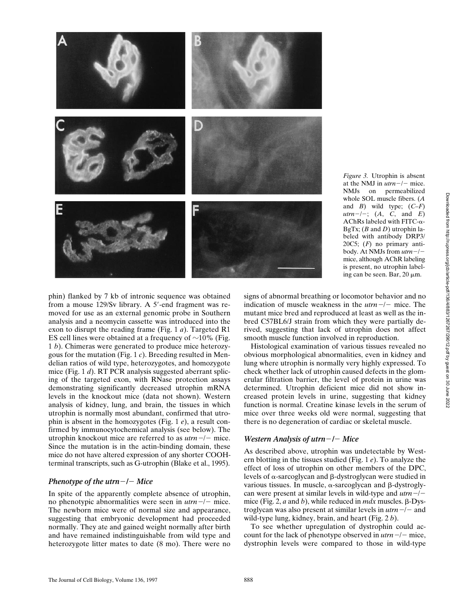

*Figure 3.* Utrophin is absent at the NMJ in  $utrn-/-$  mice. NMJs on permeabilized whole SOL muscle fibers. (*A* and *B*) wild type; (*C–F*)  $utrn-/-$ ; (*A*, *C*, and *E*) AChRs labeled with FITC-a-BgTx; (*B* and *D*) utrophin labeled with antibody DRP3/ 20C5; (*F*) no primary antibody. At NMJs from  $utrn-/$ mice, although AChR labeling is present, no utrophin labeling can be seen. Bar,  $20 \mu m$ .

phin) flanked by 7 kb of intronic sequence was obtained from a mouse 129/Sv library. A 5'-end fragment was removed for use as an external genomic probe in Southern analysis and a neomycin cassette was introduced into the exon to disrupt the reading frame (Fig. 1 *a*). Targeted R1 ES cell lines were obtained at a frequency of  $\sim$ 10% (Fig. 1 *b*). Chimeras were generated to produce mice heterozygous for the mutation (Fig. 1 *c*). Breeding resulted in Mendelian ratios of wild type, heterozygotes, and homozygote mice (Fig. 1 *d*). RT PCR analysis suggested aberrant splicing of the targeted exon, with RNase protection assays demonstrating significantly decreased utrophin mRNA levels in the knockout mice (data not shown). Western analysis of kidney, lung, and brain, the tissues in which utrophin is normally most abundant, confirmed that utrophin is absent in the homozygotes (Fig. 1 *e*), a result confirmed by immunocytochemical analysis (see below). The utrophin knockout mice are referred to as  $utrn - l$  mice. Since the mutation is in the actin-binding domain, these mice do not have altered expression of any shorter COOHterminal transcripts, such as G-utrophin (Blake et al., 1995).

#### *Phenotype of the utrn-* $/-$  *Mice*

In spite of the apparently complete absence of utrophin, no phenotypic abnormalities were seen in  $utrn -/$  mice. The newborn mice were of normal size and appearance, suggesting that embryonic development had proceeded normally. They ate and gained weight normally after birth and have remained indistinguishable from wild type and heterozygote litter mates to date (8 mo). There were no

signs of abnormal breathing or locomotor behavior and no indication of muscle weakness in the  $utrn -/$  mice. The mutant mice bred and reproduced at least as well as the inbred C57BL6/J strain from which they were partially derived, suggesting that lack of utrophin does not affect smooth muscle function involved in reproduction.

Histological examination of various tissues revealed no obvious morphological abnormalities, even in kidney and lung where utrophin is normally very highly expressed. To check whether lack of utrophin caused defects in the glomerular filtration barrier, the level of protein in urine was determined. Utrophin deficient mice did not show increased protein levels in urine, suggesting that kidney function is normal. Creatine kinase levels in the serum of mice over three weeks old were normal, suggesting that there is no degeneration of cardiac or skeletal muscle.

### *Western Analysis of utrn-* $/-$  *Mice*

As described above, utrophin was undetectable by Western blotting in the tissues studied (Fig. 1 *e*). To analyze the effect of loss of utrophin on other members of the DPC, levels of  $\alpha$ -sarcoglycan and  $\beta$ -dystroglycan were studied in various tissues. In muscle,  $\alpha$ -sarcoglycan and  $\beta$ -dystroglycan were present at similar levels in wild-type and  $utrn$ <sup>-/-</sup> mice (Fig. 2,  $a$  and  $b$ ), while reduced in  $mdx$  muscles.  $\beta$ -Dystroglycan was also present at similar levels in  $utrn - l -$  and wild-type lung, kidney, brain, and heart (Fig. 2 *b*).

To see whether upregulation of dystrophin could account for the lack of phenotype observed in  $utrn-/-$  mice, dystrophin levels were compared to those in wild-type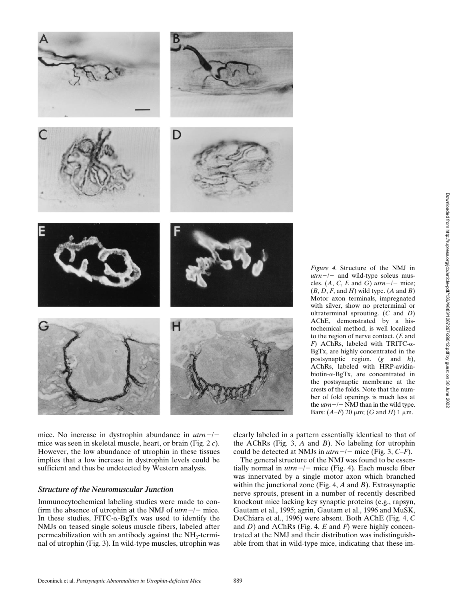

*Figure 4.* Structure of the NMJ in  $utrn-/-$  and wild-type soleus muscles. (A, C, E and G)  $utrn-/-$  mice;  $(B, D, F, \text{ and } H)$  wild type.  $(A \text{ and } B)$ Motor axon terminals, impregnated with silver, show no preterminal or ultraterminal sprouting. (*C* and *D*) AChE, demonstrated by a histochemical method, is well localized to the region of nerve contact. (*E* and  $F$ ) AChRs, labeled with TRITC- $\alpha$ -BgTx, are highly concentrated in the postsynaptic region. (*g* and *h*), AChRs, labeled with HRP-avidinbiotin- $\alpha$ -BgTx, are concentrated in the postsynaptic membrane at the crests of the folds. Note that the number of fold openings is much less at the  $utrn$ <sup>-/-</sup> NMJ than in the wild type. Bars:  $(A-F)$  20  $\mu$ m;  $(G \text{ and } H)$  1  $\mu$ m.

mice. No increase in dystrophin abundance in  $utrn-/$ mice was seen in skeletal muscle, heart, or brain (Fig. 2 *c*). However, the low abundance of utrophin in these tissues implies that a low increase in dystrophin levels could be sufficient and thus be undetected by Western analysis.

#### *Structure of the Neuromuscular Junction*

Immunocytochemical labeling studies were made to confirm the absence of utrophin at the NMJ of  $utrn -/$  mice. In these studies,  $\text{FITC-}\alpha\text{-}\text{BgTx}$  was used to identify the NMJs on teased single soleus muscle fibers, labeled after permeabilization with an antibody against the  $NH<sub>2</sub>$ -terminal of utrophin (Fig. 3). In wild-type muscles, utrophin was

clearly labeled in a pattern essentially identical to that of the AChRs (Fig. 3, *A* and *B*). No labeling for utrophin could be detected at NMJs in  $utrn -/-$  mice (Fig. 3,  $C-F$ ).

The general structure of the NMJ was found to be essentially normal in  $utrn$ <sup>-/-</sup> mice (Fig. 4). Each muscle fiber was innervated by a single motor axon which branched within the junctional zone (Fig. 4, *A* and *B*). Extrasynaptic nerve sprouts, present in a number of recently described knockout mice lacking key synaptic proteins (e.g., rapsyn, Gautam et al., 1995; agrin, Gautam et al., 1996 and MuSK, DeChiara et al., 1996) were absent. Both AChE (Fig. 4, *C* and *D*) and AChRs (Fig. 4, *E* and *F*) were highly concentrated at the NMJ and their distribution was indistinguishable from that in wild-type mice, indicating that these im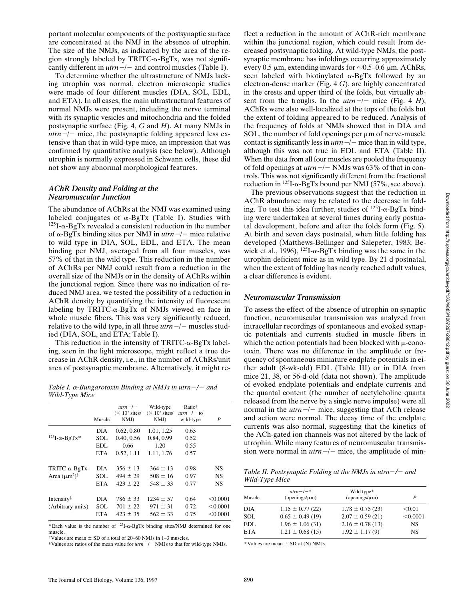portant molecular components of the postsynaptic surface are concentrated at the NMJ in the absence of utrophin. The size of the NMJs, as indicated by the area of the region strongly labeled by TRITC- $\alpha$ -BgTx, was not significantly different in  $utrn$ <sup>-/-</sup> and control muscles (Table I).

To determine whether the ultrastructure of NMJs lacking utrophin was normal, electron microscopic studies were made of four different muscles (DIA, SOL, EDL, and ETA). In all cases, the main ultrastructural features of normal NMJs were present, including the nerve terminal with its synaptic vesicles and mitochondria and the folded postsynaptic surface (Fig. 4, *G* and *H*). At many NMJs in  $utrn$ <sup>-/-</sup> mice, the postsynaptic folding appeared less extensive than that in wild-type mice, an impression that was confirmed by quantitative analysis (see below). Although utrophin is normally expressed in Schwann cells, these did not show any abnormal morphological features.

#### *AChR Density and Folding at the Neuromuscular Junction*

The abundance of AChRs at the NMJ was examined using labeled conjugates of  $\alpha$ -BgTx (Table I). Studies with  $125I-\alpha-BgTx$  revealed a consistent reduction in the number of  $\alpha$ -BgTx binding sites per NMJ in  $utrn$ <sup>-/-</sup> mice relative to wild type in DIA, SOL, EDL, and ETA. The mean binding per NMJ, averaged from all four muscles, was 57% of that in the wild type. This reduction in the number of AChRs per NMJ could result from a reduction in the overall size of the NMJs or in the density of AChRs within the junctional region. Since there was no indication of reduced NMJ area, we tested the possibility of a reduction in AChR density by quantifying the intensity of fluorescent labeling by TRITC- $\alpha$ -BgTx of NMJs viewed en face in whole muscle fibers. This was very significantly reduced, relative to the wild type, in all three  $utrn-/-$  muscles studied (DIA, SOL, and ETA; Table I).

This reduction in the intensity of  $TRITC$ - $\alpha$ -BgTx labeling, seen in the light microscope, might reflect a true decrease in AChR density, i.e., in the number of AChRs/unit area of postsynaptic membrane. Alternatively, it might re-

*Table I.* a*-Bungarotoxin Binding at NMJs in utrn*2*/*2 *and Wild-Type Mice*

|                             | Muscle     | $utrn - l -$<br>$(\times 10^7 \text{ sites/}$<br>$N$ $M$ $J$ ) | Wild-type<br>$(\times 10^7 \text{ sites/}$<br>NMJ | $Ratio^{\S}$<br>$utrn - / -$ to<br>wild-type | P         |
|-----------------------------|------------|----------------------------------------------------------------|---------------------------------------------------|----------------------------------------------|-----------|
|                             | DIA        | 0.62, 0.80                                                     | 1.01, 1.25                                        | 0.63                                         |           |
| $^{125}$ I- $\alpha$ -BgTx* | SOL        | 0.40, 0.56                                                     | 0.84, 0.99                                        | 0.52                                         |           |
|                             | EDL        | 0.66                                                           | 1.20                                              | 0.55                                         |           |
|                             | <b>ETA</b> | 0.52, 1.11                                                     | 1.11, 1.76                                        | 0.57                                         |           |
| $TRITC-\alpha-BgTx$         | <b>DIA</b> | $356 \pm 13$                                                   | $364 \pm 13$                                      | 0.98                                         | <b>NS</b> |
| Area $(\mu m^2)^{\ddagger}$ | SOL        | $494 \pm 29$                                                   | $508 \pm 16$                                      | 0.97                                         | <b>NS</b> |
|                             | <b>ETA</b> | $423 \pm 22$                                                   | $548 \pm 33$                                      | 0.77                                         | <b>NS</b> |
| Intensity <sup>‡</sup>      | <b>DIA</b> | $786 \pm 33$                                                   | $1234 \pm 57$                                     | 0.64                                         | < 0.0001  |
| (Arbitrary units)           | SOL        | $701 \pm 22$                                                   | $971 \pm 31$                                      | 0.72                                         | < 0.0001  |
|                             | <b>ETA</b> | $423 \pm 35$                                                   | $562 \pm 33$                                      | 0.75                                         | < 0.0001  |
|                             |            |                                                                |                                                   |                                              |           |

\*Each value is the number of  $^{125}I-\alpha-BgTx$  binding sites/NMJ determined for one muscle.

 $*$ Values are mean  $\pm$  SD of a total of 20–60 NMJs in 1–3 muscles.

 $\degree$ Values are ratios of the mean value for  $utrn$  –/– NMJs to that for wild-type NMJs.

flect a reduction in the amount of AChR-rich membrane within the junctional region, which could result from decreased postsynaptic folding. At wild-type NMJs, the postsynaptic membrane has infoldings occurring approximately every 0.5  $\mu$ m, extending inwards for  $\sim$ 0.5–0.6  $\mu$ m. AChRs, seen labeled with biotinylated  $\alpha$ -BgTx followed by an electron-dense marker (Fig. 4 *G*), are highly concentrated in the crests and upper third of the folds, but virtually absent from the troughs. In the  $utrn-/-$  mice (Fig. 4 *H*), AChRs were also well-localized at the tops of the folds but the extent of folding appeared to be reduced. Analysis of the frequency of folds at NMJs showed that in DIA and SOL, the number of fold openings per  $\mu$ m of nerve-muscle contact is significantly less in  $utrn$  –/– mice than in wild type, although this was not true in EDL and ETA (Table II). When the data from all four muscles are pooled the frequency of fold openings at  $utrn$  –/– NMJs was 63% of that in controls. This was not significantly different from the fractional reduction in  $^{125}I$ - $\alpha$ -BgTx bound per NMJ (57%, see above).

The previous observations suggest that the reduction in AChR abundance may be related to the decrease in folding. To test this idea further, studies of  $^{125}I$ - $\alpha$ -BgTx binding were undertaken at several times during early postnatal development, before and after the folds form (Fig. 5). At birth and seven days postnatal, when little folding has developed (Matthews-Bellinger and Salepeter, 1983; Bewick et al., 1996),  $^{125}I-\alpha$ -BgTx binding was the same in the utrophin deficient mice as in wild type. By 21 d postnatal, when the extent of folding has nearly reached adult values, a clear difference is evident.

#### *Neuromuscular Transmission*

To assess the effect of the absence of utrophin on synaptic function, neuromuscular transmission was analyzed from intracellular recordings of spontaneous and evoked synaptic potentials and currents studied in muscle fibers in which the action potentials had been blocked with  $\mu$ -conotoxin. There was no difference in the amplitude or frequency of spontaneous miniature endplate potentials in either adult (8-wk-old) EDL (Table III) or in DIA from mice 21, 38, or 56-d-old (data not shown). The amplitude of evoked endplate potentials and endplate currents and the quantal content (the number of acetylcholine quanta released from the nerve by a single nerve impulse) were all normal in the  $utrn$ <sup>-/-</sup> mice, suggesting that ACh release and action were normal. The decay time of the endplate currents was also normal, suggesting that the kinetics of the ACh-gated ion channels was not altered by the lack of utrophin. While many features of neuromuscular transmission were normal in  $utrn-/-$  mice, the amplitude of min-

*Table II. Postsynaptic Folding at the NMJs in utrn*2*/*2 *and Wild-Type Mice*

| Muscle     | $utrn - / -$ *<br>$(openings/\mu m)$ | Wild type*<br>$(openings/\mu m)$ | P         |
|------------|--------------------------------------|----------------------------------|-----------|
|            |                                      |                                  |           |
| DIA        | $1.15 \pm 0.77(22)$                  | $1.78 \pm 0.75$ (23)             | < 0.01    |
| <b>SOL</b> | $0.65 \pm 0.49$ (19)                 | $2.07 \pm 0.59$ (21)             | < 0.0001  |
| EDL.       | $1.96 \pm 1.06(31)$                  | $2.16 \pm 0.78$ (13)             | <b>NS</b> |
| <b>ETA</b> | $1.21 \pm 0.68$ (15)                 | $1.92 \pm 1.17(9)$               | <b>NS</b> |

\*Values are mean  $\pm$  SD of (N) NMJs.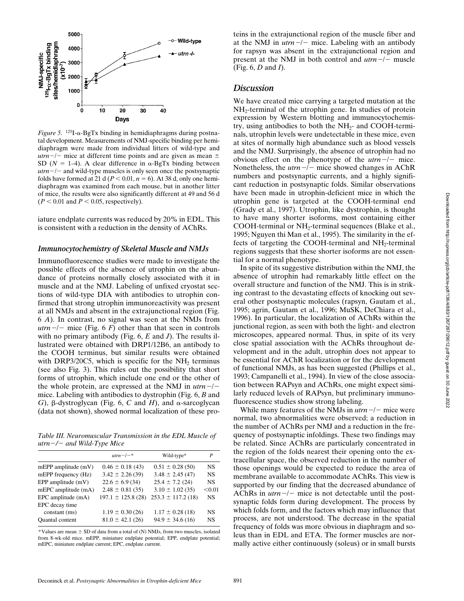

*Figure 5.* 125I-a-BgTx binding in hemidiaphragms during postnatal development. Measurements of NMJ-specific binding per hemidiaphragm were made from individual litters of wild-type and  $utrn-/-$  mice at different time points and are given as mean  $\pm$ SD ( $N = 1-4$ ). A clear difference in  $\alpha$ -BgTx binding between  $utrn-/-$  and wild-type muscles is only seen once the postsynaptic folds have formed at 21 d ( $P < 0.01$ ,  $n = 6$ ). At 38 d, only one hemidiaphragm was examined from each mouse, but in another litter of mice, the results were also significantly different at 49 and 56 d  $(P < 0.01$  and  $P < 0.05$ , respectively).

iature endplate currents was reduced by 20% in EDL. This is consistent with a reduction in the density of AChRs.

#### *Immunocytochemistry of Skeletal Muscle and NMJs*

Immunofluorescence studies were made to investigate the possible effects of the absence of utrophin on the abundance of proteins normally closely associated with it in muscle and at the NMJ. Labeling of unfixed cryostat sections of wild-type DIA with antibodies to utrophin confirmed that strong utrophin immunoreactivity was present at all NMJs and absent in the extrajunctional region (Fig. 6 *A*). In contrast, no signal was seen at the NMJs from *utrn* $-/-$  mice (Fig. 6 *F*) other than that seen in controls with no primary antibody (Fig. 6, *E* and *J*). The results illustrated were obtained with DRP1/12B6, an antibody to the COOH terminus, but similar results were obtained with DRP3/20C5, which is specific for the  $NH<sub>2</sub>$  terminus (see also Fig. 3). This rules out the possibility that short forms of utrophin, which include one end or the other of the whole protein, are expressed at the NMJ in  $utrn-/$ mice. Labeling with antibodies to dystrophin (Fig. 6, *B* and *G*),  $\beta$ -dystroglycan (Fig. 6, *C* and *H*), and  $\alpha$ -sarcoglycan (data not shown), showed normal localization of these pro-

*Table III. Neuromuscular Transmission in the EDL Muscle of utrn*2*/*2 *and Wild-Type Mice*

|                         | $utrn - / -$ *         | Wild-type*             | P         |
|-------------------------|------------------------|------------------------|-----------|
| $mEPP$ amplitude $(mV)$ | $0.46 \pm 0.18$ (43)   | $0.51 \pm 0.28$ (50)   | <b>NS</b> |
| mEPP frequency (Hz)     | $3.42 \pm 2.26$ (39)   | $3.48 \pm 2.45(47)$    | <b>NS</b> |
| EPP amplitude $(mV)$    | $22.6 \pm 6.9$ (34)    | $25.4 \pm 7.2$ (24)    | <b>NS</b> |
| mEPC amplitude (mA)     | $2.48 \pm 0.81(35)$    | $3.10 \pm 1.02$ (35)   | < 0.01    |
| EPC amplitude (mA)      | $197.1 \pm 125.8$ (28) | $253.3 \pm 117.2$ (18) | <b>NS</b> |
| EPC decay time          |                        |                        |           |
| constant (ms)           | $1.19 \pm 0.30$ (26)   | $1.17 \pm 0.28$ (18)   | <b>NS</b> |
| <b>Ouantal</b> content  | $81.0 \pm 42.1(26)$    | $94.9 \pm 34.6$ (16)   | <b>NS</b> |

\*Values are mean  $\pm$  SD of data from a total of (N) NMJs, from two muscles, isolated from 8-wk-old mice. mEPP, miniature endplate potential; EPP, endplate potential; mEPC, miniature endplate current; EPC, endplate current.

teins in the extrajunctional region of the muscle fiber and at the NMJ in  $utrn -/ -$  mice. Labeling with an antibody for rapsyn was absent in the extrajunctional region and present at the NMJ in both control and  $utrn - l$  muscle (Fig. 6, *D* and *I*).

# *Discussion*

We have created mice carrying a targeted mutation at the  $NH<sub>2</sub>$ -terminal of the utrophin gene. In studies of protein expression by Western blotting and immunocytochemistry, using antibodies to both the  $NH<sub>2</sub>-$  and COOH-terminals, utrophin levels were undetectable in these mice, even at sites of normally high abundance such as blood vessels and the NMJ. Surprisingly, the absence of utrophin had no obvious effect on the phenotype of the  $utrn-/-$  mice. Nonetheless, the  $utrn$ <sup>-/-</sup> mice showed changes in AChR numbers and postsynaptic currents, and a highly significant reduction in postsynaptic folds. Similar observations have been made in utrophin-deficient mice in which the utrophin gene is targeted at the COOH-terminal end (Grady et al., 1997). Utrophin, like dystrophin, is thought to have many shorter isoforms, most containing either COOH-terminal or NH<sub>2</sub>-terminal sequences (Blake et al., 1995; Nguyen thi Man et al., 1995). The similarity in the effects of targeting the COOH-terminal and  $NH<sub>2</sub>$ -terminal regions suggests that these shorter isoforms are not essential for a normal phenotype.

In spite of its suggestive distribution within the NMJ, the absence of utrophin had remarkably little effect on the overall structure and function of the NMJ. This is in striking contrast to the devastating effects of knocking out several other postsynaptic molecules (rapsyn, Gautam et al., 1995; agrin, Gautam et al., 1996; MuSK, DeChiara et al., 1996). In particular, the localization of AChRs within the junctional region, as seen with both the light- and electron microscopes, appeared normal. Thus, in spite of its very close spatial association with the AChRs throughout development and in the adult, utrophin does not appear to be essential for AChR localization or for the development of functional NMJs, as has been suggested (Phillips et al., 1993; Campanelli et al., 1994). In view of the close association between RAPsyn and AChRs, one might expect similarly reduced levels of RAPsyn, but preliminary immunofluorescence studies show strong labeling.

While many features of the NMJs in  $utrn$ <sup>-/-</sup> mice were normal, two abnormalities were observed; a reduction in the number of AChRs per NMJ and a reduction in the frequency of postsynaptic infoldings. These two findings may be related. Since AChRs are particularly concentrated in the region of the folds nearest their opening onto the extracellular space, the observed reduction in the number of those openings would be expected to reduce the area of membrane available to accommodate AChRs. This view is supported by our finding that the decreased abundance of AChRs in  $utrn - l$  mice is not detectable until the postsynaptic folds form during development. The process by which folds form, and the factors which may influence that process, are not understood. The decrease in the spatial frequency of folds was more obvious in diaphragm and soleus than in EDL and ETA. The former muscles are normally active either continuously (soleus) or in small bursts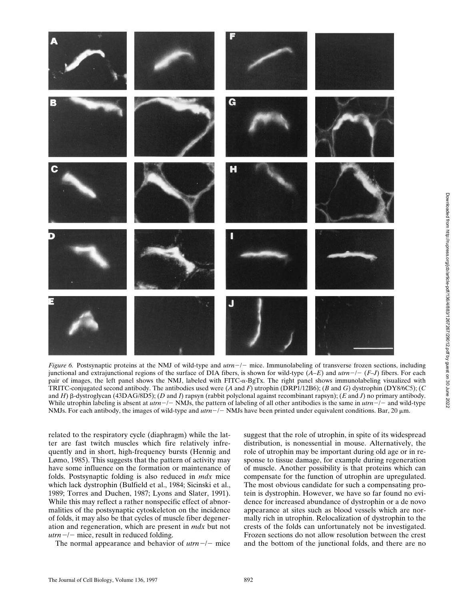

Downloaded from http://rupress.org/jcb/article-pdf/136/4/883/1267267/29012.pdf by guest on 30 June 2022

Downloaded from http://rupress.org/jcb/article-pdf/136/4/883/1267/29012.pdf by guest on 30 June 2022

*Figure 6.* Postsynaptic proteins at the NMJ of wild-type and  $utrn-/-$  mice. Immunolabeling of transverse frozen sections, including junctional and extrajunctional regions of the surface of DIA fibers, is shown for wild-type  $(A-E)$  and  $utrn-/- (F-J)$  fibers. For each pair of images, the left panel shows the NMJ, labeled with FITC- $\alpha$ -BgTx. The right panel shows immunolabeling visualized with TRITC-conjugated second antibody. The antibodies used were (*A* and *F*) utrophin (DRP1/12B6); (*B* and *G*) dystrophin (DY8/6C5); (*C* and *H*) b-dystroglycan (43DAG/8D5); (*D* and *I*) rapsyn (rabbit polyclonal against recombinant rapsyn); (*E* and *J*) no primary antibody. While utrophin labeling is absent at  $utm-/-$  NMJs, the pattern of labeling of all other antibodies is the same in  $utm-/-$  and wild-type NMJs. For each antibody, the images of wild-type and  $utm-/-$  NMJs have been printed under equivalent conditions. Bar, 20  $\mu$ m.

related to the respiratory cycle (diaphragm) while the latter are fast twitch muscles which fire relatively infrequently and in short, high-frequency bursts (Hennig and Lømo, 1985). This suggests that the pattern of activity may have some influence on the formation or maintenance of folds. Postsynaptic folding is also reduced in *mdx* mice which lack dystrophin (Bulfield et al., 1984; Sicinski et al., 1989; Torres and Duchen, 1987; Lyons and Slater, 1991). While this may reflect a rather nonspecific effect of abnormalities of the postsynaptic cytoskeleton on the incidence of folds, it may also be that cycles of muscle fiber degeneration and regeneration, which are present in *mdx* but not  $utrn$ <sup>-/-</sup> mice, result in reduced folding.

The normal appearance and behavior of  $utrn-/-$  mice

suggest that the role of utrophin, in spite of its widespread distribution, is nonessential in mouse. Alternatively, the role of utrophin may be important during old age or in response to tissue damage, for example during regeneration of muscle. Another possibility is that proteins which can compensate for the function of utrophin are upregulated. The most obvious candidate for such a compensating protein is dystrophin. However, we have so far found no evidence for increased abundance of dystrophin or a de novo appearance at sites such as blood vessels which are normally rich in utrophin. Relocalization of dystrophin to the crests of the folds can unfortunately not be investigated. Frozen sections do not allow resolution between the crest and the bottom of the junctional folds, and there are no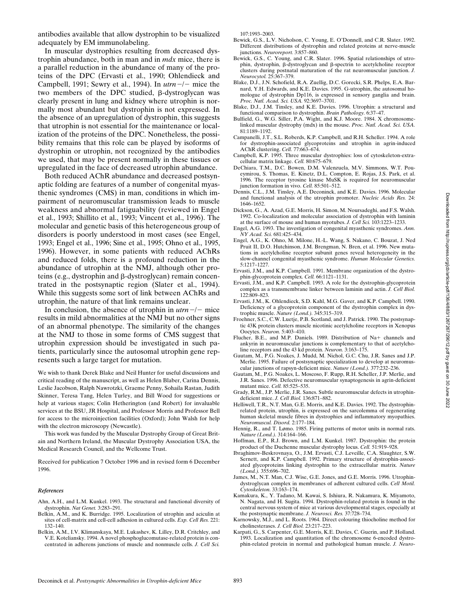In muscular dystrophies resulting from decreased dystrophin abundance, both in man and in *mdx* mice, there is a parallel reduction in the abundance of many of the proteins of the DPC (Ervasti et al., 1990; Ohlendieck and Campbell, 1991; Sewry et al., 1994). In  $utrn - l$  mice the two members of the DPC studied,  $\beta$ -dystroglycan was clearly present in lung and kidney where utrophin is normally most abundant but dystrophin is not expressed. In the absence of an upregulation of dystrophin, this suggests that utrophin is not essential for the maintenance or localization of the proteins of the DPC. Nonetheless, the possibility remains that this role can be played by isoforms of dystrophin or utrophin, not recognized by the antibodies we used, that may be present normally in these tissues or upregulated in the face of decreased utrophin abundance.

Both reduced AChR abundance and decreased postsynaptic folding are features of a number of congenital myasthenic syndromes (CMS) in man, conditions in which impairment of neuromuscular transmission leads to muscle weakness and abnormal fatiguability (reviewed in Engel et al., 1993; Shillito et al., 1993; Vincent et al., 1996). The molecular and genetic basis of this heterogeneous group of disorders is poorly understood in most cases (see Engel, 1993; Engel et al., 1996; Sine et al., 1995; Ohno et al., 1995, 1996). However, in some patients with reduced AChRs and reduced folds, there is a profound reduction in the abundance of utrophin at the NMJ, although other proteins (e.g., dystrophin and  $\beta$ -dystroglycan) remain concentrated in the postsynaptic region (Slater et al., 1994). While this suggests some sort of link between AChRs and utrophin, the nature of that link remains unclear.

In conclusion, the absence of utrophin in  $utrn - l$  mice results in mild abnormalities at the NMJ but no other signs of an abnormal phenotype. The similarity of the changes at the NMJ to those in some forms of CMS suggest that utrophin expression should be investigated in such patients, particularly since the autosomal utrophin gene represents such a large target for mutation.

We wish to thank Derek Blake and Neil Hunter for useful discussions and critical reading of the manuscript, as well as Helen Blaber, Carina Dennis, Leslie Jacobson, Ralph Nawrotzki, Graeme Penny, Sohaila Rastan, Judith Skinner, Teresa Tang, Helen Turley, and Bill Wood for suggestions or help at various stages; Colin Hetherington (and Robert) for invaluable services at the BSU, JR Hospital, and Professor Morris and Professor Bell for access to the microinjection facilities (Oxford); John Walsh for help with the electron microscopy (Newcastle).

This work was funded by the Muscular Dystrophy Group of Great Britain and Northern Ireland, the Muscular Dystrophy Association USA, the Medical Research Council, and the Wellcome Trust.

Received for publication 7 October 1996 and in revised form 6 December 1996.

#### *References*

Ahn, A.H., and L.M. Kunkel. 1993. The structural and functional diversity of dystrophin. *Nat Genet.* 3:283–291.

- Belkin, A.M., and K. Burridge. 1995. Localization of utrophin and aciculin at sites of cell-matrix and cell-cell adhesion in cultured cells. *Exp. Cell Res.* 221: 132–140.
- Belkin, A.M., I.V. Klimanskaya, M.E. Lukashev, K. Lilley, D.R. Critchley, and V.E. Koteliansky. 1994. A novel phosphoglucomutase-related protein is concentrated in adherens junctions of muscle and nonmuscle cells. *J. Cell Sci.*

107:1993–2003.

- Bewick, G.S., L.V. Nicholson, C. Young, E. O'Donnell, and C.R. Slater. 1992. Different distributions of dystrophin and related proteins at nerve-muscle junctions. *Neuroreport.* 3:857–860.
- Bewick, G.S., C. Young, and C.R. Slater. 1996. Spatial relationships of utrophin, dystrophin, b-dystroglycan and b-spectrin to acetylcholine receptor clusters during postnatal maturation of the rat neuromuscular junction. *J. Neurocytol.* 25:367–379.
- Blake, D.J., J.N. Schofield, R.A. Zuellig, D.C. Gorecki, S.R. Phelps, E.A. Barnard, Y.H. Edwards, and K.E. Davies. 1995. G-utrophin, the autosomal homologue of dystrophin Dp116, is expressed in sensory ganglia and brain. *Proc. Natl. Acad. Sci. USA.* 92:3697–3701.
- Blake, D.J., J.M. Tinsley, and K.E. Davies. 1996. Utrophin: a structural and functional comparison to dystrophin. *Brain Pathology.* 6:37–47.
- Bulfield, G., W.G. Siller, P.A. Wight, and K.J. Moore. 1984. X chromosomelinked muscular dystrophy (mdx) in the mouse. *Proc. Natl. Acad. Sci. USA.* 81:1189–1192.
- Campanelli, J.T., S.L. Roberds, K.P. Campbell, and R.H. Scheller. 1994. A role for dystrophin-associated glycoproteins and utrophin in agrin-induced AChR clustering. *Cell.* 77:663–674.
- Campbell, K.P. 1995. Three muscular dystrophies: loss of cytoskeleton-extracellular matrix linkage. *Cell.* 80:675–679.
- DeChiara, T.M., D.C. Bowen, D.M. Valenzuela, M.V. Simmons, W.T. Poueymirou, S. Thomas, E. Kinetz, D.L. Compton, E. Rojas, J.S. Park, et al. 1996. The receptor tyrosine kinase MuSK is required for neuromuscular junction formation in vivo. *Cell.* 85:501–512.
- Dennis, C.L., J.M. Tinsley, A.E. Deconinck, and K.E. Davies. 1996. Molecular and functional analysis of the utrophin promoter. *Nucleic Acids Res.* 24: 1646–1652.
- Dickson, G., A. Azad, G.E. Morris, H. Simon, M. Noursadeghi, and F.S. Walsh. 1992. Co-localization and molecular association of dystrophin with laminin at the surface of mouse and human myotubes. *J. Cell Sci.* 103:1223–1233.
- Engel, A.G. 1993. The investigation of congenital myasthenic syndromes. *Ann. NY Acad. Sci.* 681:425–434.
- Engel, A.G., K. Ohno, M. Milone, H.-L. Wang, S. Nakano, C. Bouzat, J. Ned Pruit II, D.O. Hutchinson, J.M. Brengman, N. Bren, et al. 1996. New mutations in acetylcholine receptor subunit genes reveal heterogeneity in the slow-channel congenital myasthenic syndrome. *Human Molecular Genetics.* 5:1217–1227.
- Ervasti, J.M., and K.P. Campbell. 1991. Membrane organization of the dystrophin-glycoprotein complex. *Cell.* 66:1121–1131.
- Ervasti, J.M., and K.P. Campbell. 1993. A role for the dystrophin-glycoprotein complex as a transmembrane linker between laminin and actin. *J. Cell Biol.* 122:809–823.
- Ervasti, J.M., K. Ohlendieck, S.D. Kahl, M.G. Gaver, and K.P. Campbell. 1990. Deficiency of a glycoprotein component of the dystrophin complex in dystrophic muscle. *Nature (Lond.).* 345:315–319.
- Froehner, S.C., C.W. Luetje, P.B. Scotland, and J. Patrick. 1990. The postsynaptic 43K protein clusters muscle nicotinic acetylcholine receptors in Xenopus Oocytes. *Neuron.* 5:403–410.
- Flucher, B.E., and M.P. Daniels. 1989. Distribution of Na+ channels and ankyrin in neuromuscular junctions is complementary to that of acetylcholine receptors and the 43 kd protein. *Neuron.* 3:163–175.
- Gautam, M., P.G. Noakes, J. Mudd, M. Nichol, G.C. Chu, J.R. Sanes and J.P. Merlie. 1995. Failure of postsynaptic specialization to develop at neuromuscular junctions of rapsyn-deficient mice. *Nature (Lond.).* 377:232–236.
- Gautam, M., P.G. Noakes, L. Moscoso, F. Rupp, R.H. Scheller, J.P. Merlie, and J.R. Sanes. 1996. Defective neuromuscular synaptogenesis in agrin-deficient mutant mice. *Cell.* 85:525–535.
- Grady, R.M., J.P. Merlie, J.R. Sanes. Subtle neuromuscular defects in utrophindeficient mice. *J. Cell Biol.* 136:871–882.
- Helliwell, T.R., N.T. Man, G.E. Morris, and K.E. Davies. 1992. The dystrophinrelated protein, utrophin, is expressed on the sarcolemma of regenerating human skeletal muscle fibres in dystrophies and inflammatory myopathies. *Neuromuscul. Disord.* 2:177–184.
- Hennig, R., and T. Lømo. 1985. Firing patterns of motor units in normal rats. *Nature (Lond.).* 314:164–166.
- Hoffman, E.P., R.J. Brown, and L.M. Kunkel. 1987. Dystrophin: the protein product of the Duchenne muscular dystrophy locus. *Cell.* 51:919–928.
- Ibraghimov-Beskrovnaya, O., J.M. Ervasti, C.J. Leveille, C.A. Slaughter, S.W. Sernett, and K.P. Campbell. 1992. Primary structure of dystrophin-associated glycoproteins linking dystrophin to the extracellular matrix. *Nature (Lond.).* 355:696–702.
- James, M., N.T. Man, C.J. Wise, G.E. Jones, and G.E. Morris. 1996. Utrophindystroglycan complex in membranes of adherent cultured cells. *Cell Motil. Cytoskeleton.* 33:163–174.
- Kamakura, K., Y. Tadano, M. Kawai, S. Ishiura, R. Nakamura, K. Miyamoto, N. Nagata, and H. Sugita. 1994. Dystrophin-related protein is found in the central nervous system of mice at various developmental stages, especially at the postsynaptic membrane. *J. Neurosci. Res.* 37:728–734.
- Karnowsky, M.J., and L. Roots. 1964. Direct colouring thiocholine method for cholinesterases. *J. Cell Biol.* 23:217–223.
- Karpati, G., S. Carpenter, G.E. Morris, K.E. Davies, C. Guerin, and P. Holland. 1993. Localization and quantitation of the chromosome 6-encoded dystrophin-related protein in normal and pathological human muscle. *J. Neuro-*